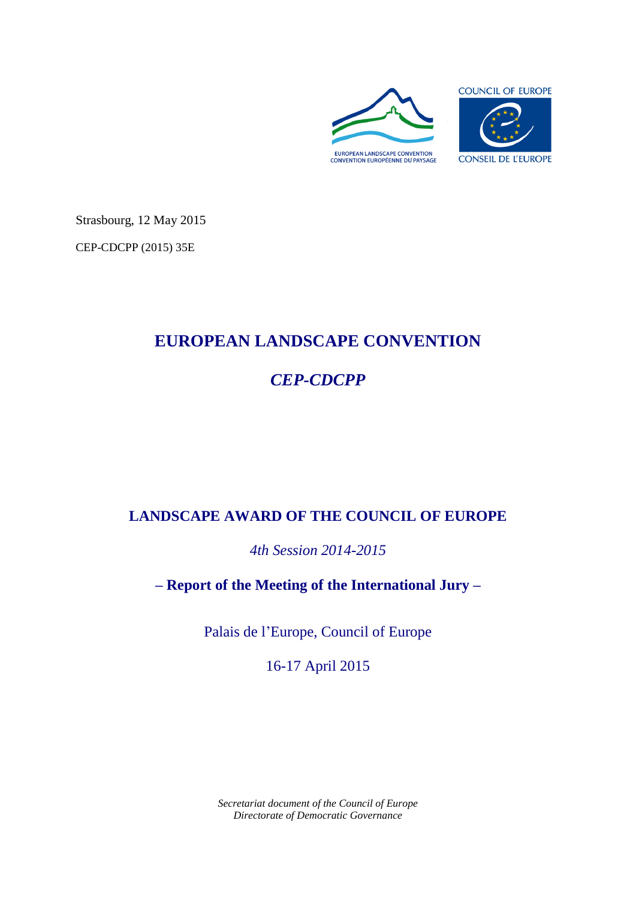

Strasbourg, 12 May 2015

CEP-CDCPP (2015) 35E

# **EUROPEAN LANDSCAPE CONVENTION**

# *CEP-CDCPP*

# **LANDSCAPE AWARD OF THE COUNCIL OF EUROPE**

*4th Session 2014-2015*

**– Report of the Meeting of the International Jury –**

Palais de l'Europe, Council of Europe

16-17 April 2015

*Secretariat document of the Council of Europe Directorate of Democratic Governance*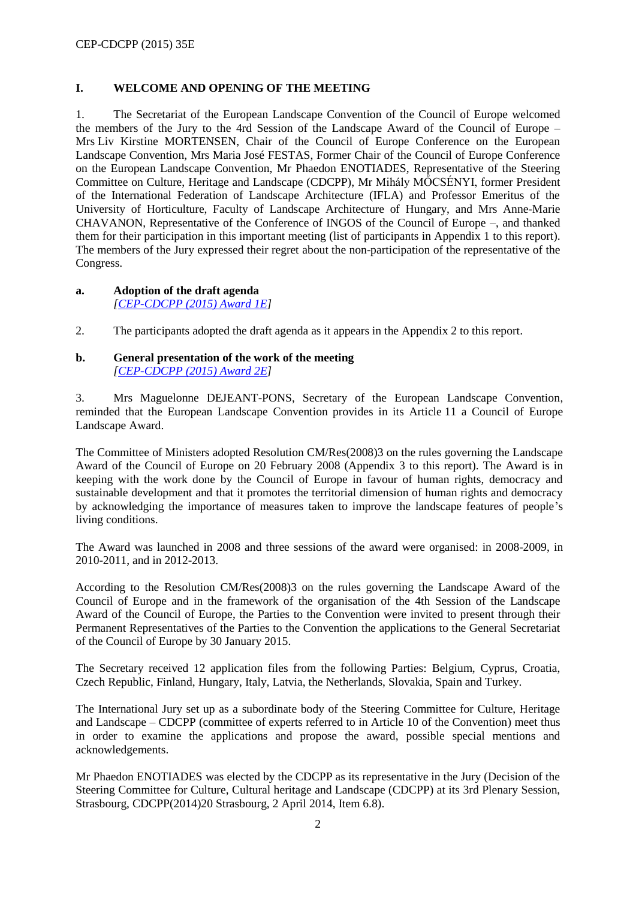# **I. WELCOME AND OPENING OF THE MEETING**

1. The Secretariat of the European Landscape Convention of the Council of Europe welcomed the members of the Jury to the 4rd Session of the Landscape Award of the Council of Europe – Mrs Liv Kirstine MORTENSEN, Chair of the Council of Europe Conference on the European Landscape Convention, Mrs Maria José FESTAS, Former Chair of the Council of Europe Conference on the European Landscape Convention, Mr Phaedon ENOTIADES, Representative of the Steering Committee on Culture, Heritage and Landscape (CDCPP), Mr Mihály MŐCSÉNYI, former President of the International Federation of Landscape Architecture (IFLA) and Professor Emeritus of the University of Horticulture, Faculty of Landscape Architecture of Hungary, and Mrs Anne-Marie CHAVANON, Representative of the Conference of INGOS of the Council of Europe –, and thanked them for their participation in this important meeting (list of participants in Appendix 1 to this report). The members of the Jury expressed their regret about the non-participation of the representative of the Congress.

#### **a. Adoption of the draft agenda**  *[\[CEP-CDCPP \(2015\) Award 1E\]](http://www.coe.int/t/dg4/cultureheritage/heritage/Landscape/Prix/2014/jury/CEP-CDCPP-2015-OJ_en.pdf)*

2. The participants adopted the draft agenda as it appears in the Appendix 2 to this report.

#### **b. General presentation of the work of the meeting**  *[\[CEP-CDCPP \(2015\) Award 2E\]](http://www.coe.int/t/dg4/cultureheritage/heritage/Landscape/Prix/2014/jury/CEP-CDCPP-2015-2-Award_en.pdf)*

3. Mrs Maguelonne DEJEANT-PONS, Secretary of the European Landscape Convention, reminded that the European Landscape Convention provides in its Article 11 a Council of Europe Landscape Award.

The Committee of Ministers adopted Resolution CM/Res(2008)3 on the rules governing the Landscape Award of the Council of Europe on 20 February 2008 (Appendix 3 to this report). The Award is in keeping with the work done by the Council of Europe in favour of human rights, democracy and sustainable development and that it promotes the territorial dimension of human rights and democracy by acknowledging the importance of measures taken to improve the landscape features of people's living conditions.

The Award was launched in 2008 and three sessions of the award were organised: in 2008-2009, in 2010-2011, and in 2012-2013.

According to the Resolution CM/Res(2008)3 on the rules governing the Landscape Award of the Council of Europe and in the framework of the organisation of the 4th Session of the Landscape Award of the Council of Europe, the Parties to the Convention were invited to present through their Permanent Representatives of the Parties to the Convention the applications to the General Secretariat of the Council of Europe by 30 January 2015.

The Secretary received 12 application files from the following Parties: Belgium, Cyprus, Croatia, Czech Republic, Finland, Hungary, Italy, Latvia, the Netherlands, Slovakia, Spain and Turkey.

The International Jury set up as a subordinate body of the Steering Committee for Culture, Heritage and Landscape – CDCPP (committee of experts referred to in Article 10 of the Convention) meet thus in order to examine the applications and propose the award, possible special mentions and acknowledgements.

Mr Phaedon ENOTIADES was elected by the CDCPP as its representative in the Jury (Decision of the Steering Committee for Culture, Cultural heritage and Landscape (CDCPP) at its 3rd Plenary Session, Strasbourg, CDCPP(2014)20 Strasbourg, 2 April 2014, Item 6.8).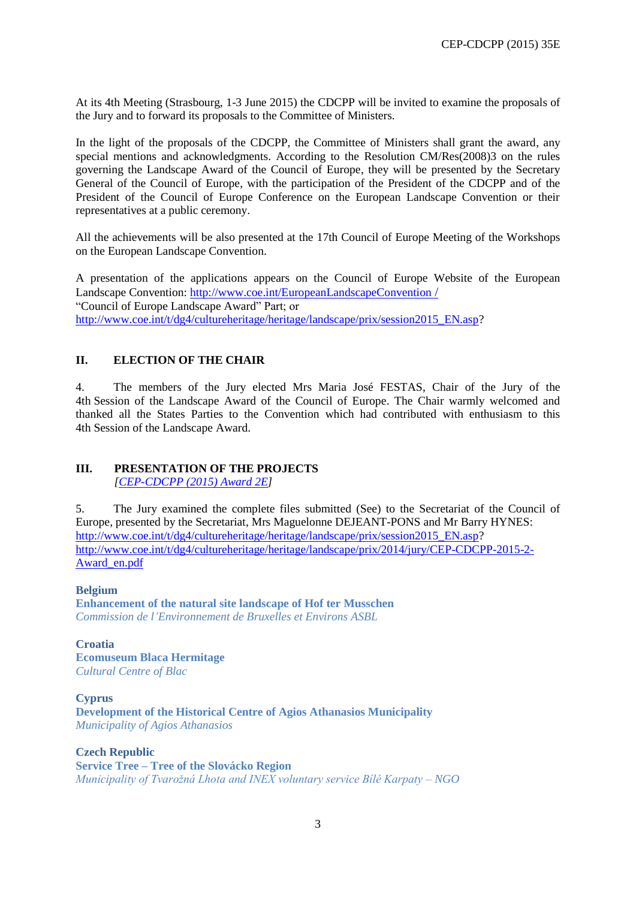At its 4th Meeting (Strasbourg, 1-3 June 2015) the CDCPP will be invited to examine the proposals of the Jury and to forward its proposals to the Committee of Ministers.

In the light of the proposals of the CDCPP, the Committee of Ministers shall grant the award, any special mentions and acknowledgments. According to the Resolution CM/Res(2008)3 on the rules governing the Landscape Award of the Council of Europe, they will be presented by the Secretary General of the Council of Europe, with the participation of the President of the CDCPP and of the President of the Council of Europe Conference on the European Landscape Convention or their representatives at a public ceremony.

All the achievements will be also presented at the 17th Council of Europe Meeting of the Workshops on the European Landscape Convention.

A presentation of the applications appears on the Council of Europe Website of the European Landscape Convention: [http://www.coe.int/EuropeanLandscapeConvention](http://www.coe.int/EuropeanLandscapeConvention%20/) / "Council of Europe Landscape Award" Part; or [http://www.coe.int/t/dg4/cultureheritage/heritage/landscape/prix/session2015\\_EN.asp?](http://www.coe.int/t/dg4/cultureheritage/heritage/landscape/prix/session2015_EN.asp)

# **II. ELECTION OF THE CHAIR**

4. The members of the Jury elected Mrs Maria José FESTAS, Chair of the Jury of the 4th Session of the Landscape Award of the Council of Europe. The Chair warmly welcomed and thanked all the States Parties to the Convention which had contributed with enthusiasm to this 4th Session of the Landscape Award.

#### **III. PRESENTATION OF THE PROJECTS**  *[\[CEP-CDCPP \(2015\) Award 2E\]](http://www.coe.int/t/dg4/cultureheritage/heritage/Landscape/Prix/2014/jury/CEP-CDCPP-2015-2-Award_en.pdf)*

5. The Jury examined the complete files submitted (See) to the Secretariat of the Council of Europe, presented by the Secretariat, Mrs Maguelonne DEJEANT-PONS and Mr Barry HYNES: [http://www.coe.int/t/dg4/cultureheritage/heritage/landscape/prix/session2015\\_EN.asp?](http://www.coe.int/t/dg4/cultureheritage/heritage/landscape/prix/session2015_EN.asp) [http://www.coe.int/t/dg4/cultureheritage/heritage/landscape/prix/2014/jury/CEP-CDCPP-2015-2-](http://www.coe.int/t/dg4/cultureheritage/heritage/landscape/prix/2014/jury/CEP-CDCPP-2015-2-Award_en.pdf) [Award\\_en.pdf](http://www.coe.int/t/dg4/cultureheritage/heritage/landscape/prix/2014/jury/CEP-CDCPP-2015-2-Award_en.pdf)

**Belgium Enhancement of the natural site landscape of Hof ter Musschen** *Commission de l'Environnement de Bruxelles et Environs ASBL*

**Croatia Ecomuseum Blaca Hermitage** *Cultural Centre of Blac*

**Cyprus Development of the Historical Centre of Agios Athanasios Municipality** *Municipality of Agios Athanasios*

**Czech Republic Service Tree – Tree of the Slovácko Region** *Municipality of Tvarožná Lhota and INEX voluntary service Bílé Karpaty – NGO*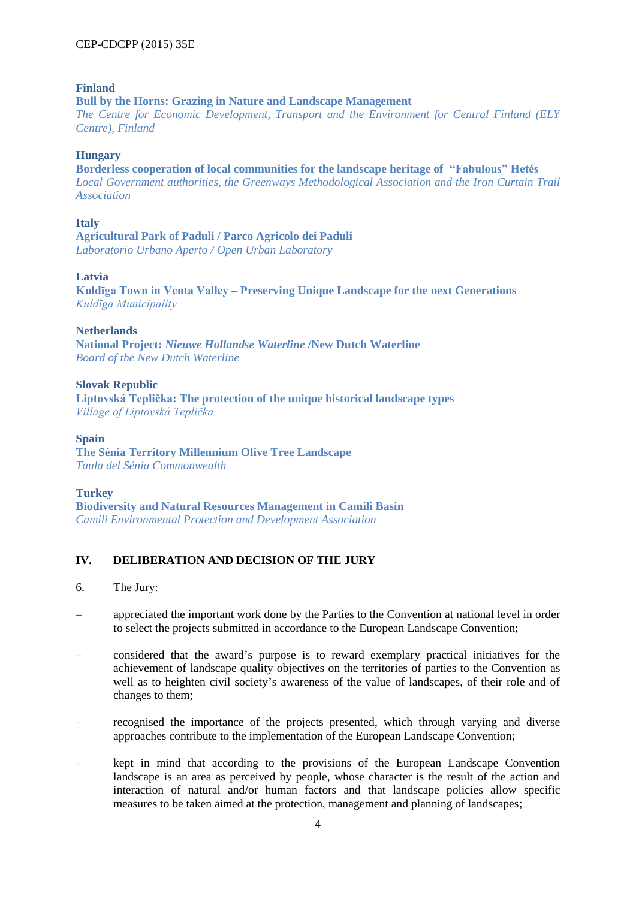#### **Finland**

**Bull by the Horns: Grazing in Nature and Landscape Management** *The Centre for Economic Development, Transport and the Environment for Central Finland (ELY Centre), Finland*

#### **Hungary**

**[Borderless cooperation of local communities for the landscape heritage of "Fabulous" Hetés](http://www.coe.int/t/dg4/cultureheritage/heritage/landscape/prix/2014/Hungary-appli-form.pdf)** *Local Government authorities, the Greenways Methodological Association and the Iron Curtain Trail Association*

**Italy**

**Agricultural Park of Paduli / Parco Agricolo dei Paduli** *Laboratorio Urbano Aperto / Open Urban Laboratory*

#### **Latvia**

**Kuldīga Town in Venta Valley – Preserving Unique Landscape for the next Generations** *Kuldīga Municipality*

#### **Netherlands**

**National Project:** *Nieuwe Hollandse Waterline* **/New Dutch Waterline** *Board of the New Dutch Waterline*

**Slovak Republic Liptovská Teplička: The protection of the unique historical landscape types** *Village of Liptovská Teplička*

#### **Spain The Sénia Territory Millennium Olive Tree Landscape** *Taula del Sénia Commonwealth*

#### **Turkey**

**Biodiversity and Natural Resources Management in Camili Basin** *Camili Environmental Protection and Development Association*

# **IV. DELIBERATION AND DECISION OF THE JURY**

- 6. The Jury:
- appreciated the important work done by the Parties to the Convention at national level in order to select the projects submitted in accordance to the European Landscape Convention;
- considered that the award's purpose is to reward exemplary practical initiatives for the achievement of landscape quality objectives on the territories of parties to the Convention as well as to heighten civil society's awareness of the value of landscapes, of their role and of changes to them;
- recognised the importance of the projects presented, which through varying and diverse approaches contribute to the implementation of the European Landscape Convention;
- kept in mind that according to the provisions of the European Landscape Convention landscape is an area as perceived by people, whose character is the result of the action and interaction of natural and/or human factors and that landscape policies allow specific measures to be taken aimed at the protection, management and planning of landscapes;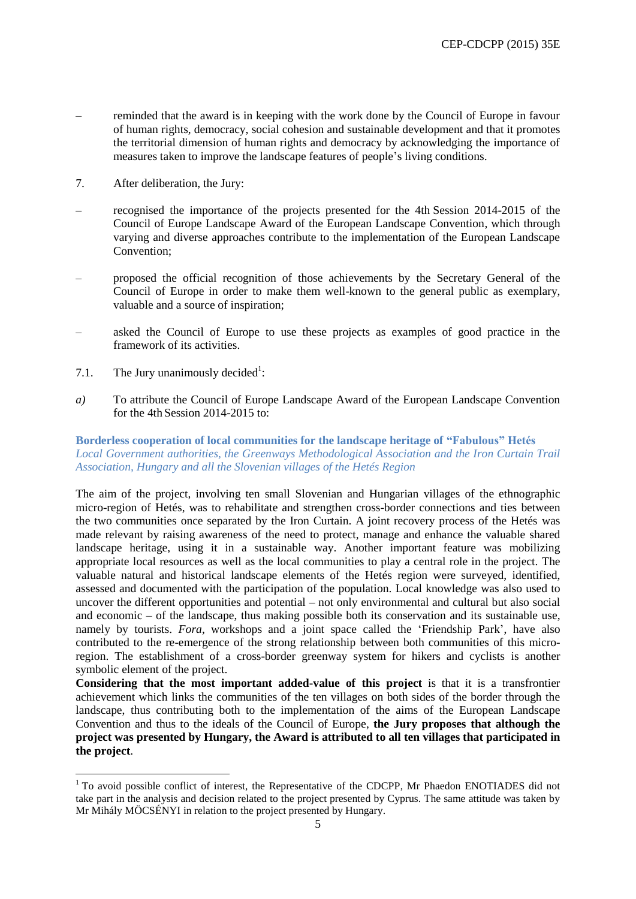- reminded that the award is in keeping with the work done by the Council of Europe in favour of human rights, democracy, social cohesion and sustainable development and that it promotes the territorial dimension of human rights and democracy by acknowledging the importance of measures taken to improve the landscape features of people's living conditions.
- 7. After deliberation, the Jury:
- recognised the importance of the projects presented for the 4th Session 2014-2015 of the Council of Europe Landscape Award of the European Landscape Convention, which through varying and diverse approaches contribute to the implementation of the European Landscape Convention;
- proposed the official recognition of those achievements by the Secretary General of the Council of Europe in order to make them well-known to the general public as exemplary, valuable and a source of inspiration;
- asked the Council of Europe to use these projects as examples of good practice in the framework of its activities.
- 7.1. The Jury unanimously decided<sup>1</sup>:

 $\overline{a}$ 

*a)* To attribute the Council of Europe Landscape Award of the European Landscape Convention for the 4th Session 2014-2015 to:

#### **[Borderless cooperation of local communities for the landscape heritage of](http://www.coe.int/t/dg4/cultureheritage/heritage/landscape/prix/2014/Hungary-appli-form.pdf) "Fabulous" Hetés** *Local Government authorities, the Greenways Methodological Association and the Iron Curtain Trail Association, Hungary and all the Slovenian villages of the Hetés Region*

The aim of the project, involving ten small Slovenian and Hungarian villages of the ethnographic micro-region of Hetés, was to rehabilitate and strengthen cross-border connections and ties between the two communities once separated by the Iron Curtain. A joint recovery process of the Hetés was made relevant by raising awareness of the need to protect, manage and enhance the valuable shared landscape heritage, using it in a sustainable way. Another important feature was mobilizing appropriate local resources as well as the local communities to play a central role in the project. The valuable natural and historical landscape elements of the Hetés region were surveyed, identified, assessed and documented with the participation of the population. Local knowledge was also used to uncover the different opportunities and potential – not only environmental and cultural but also social and economic – of the landscape, thus making possible both its conservation and its sustainable use, namely by tourists. *Fora*, workshops and a joint space called the 'Friendship Park', have also contributed to the re-emergence of the strong relationship between both communities of this microregion. The establishment of a cross-border greenway system for hikers and cyclists is another symbolic element of the project.

**Considering that the most important added-value of this project** is that it is a transfrontier achievement which links the communities of the ten villages on both sides of the border through the landscape, thus contributing both to the implementation of the aims of the European Landscape Convention and thus to the ideals of the Council of Europe, **the Jury proposes that although the project was presented by Hungary, the Award is attributed to all ten villages that participated in the project**.

<sup>&</sup>lt;sup>1</sup> To avoid possible conflict of interest, the Representative of the CDCPP, Mr Phaedon ENOTIADES did not take part in the analysis and decision related to the project presented by Cyprus. The same attitude was taken by Mr Mihály MÖCSÉNYI in relation to the project presented by Hungary.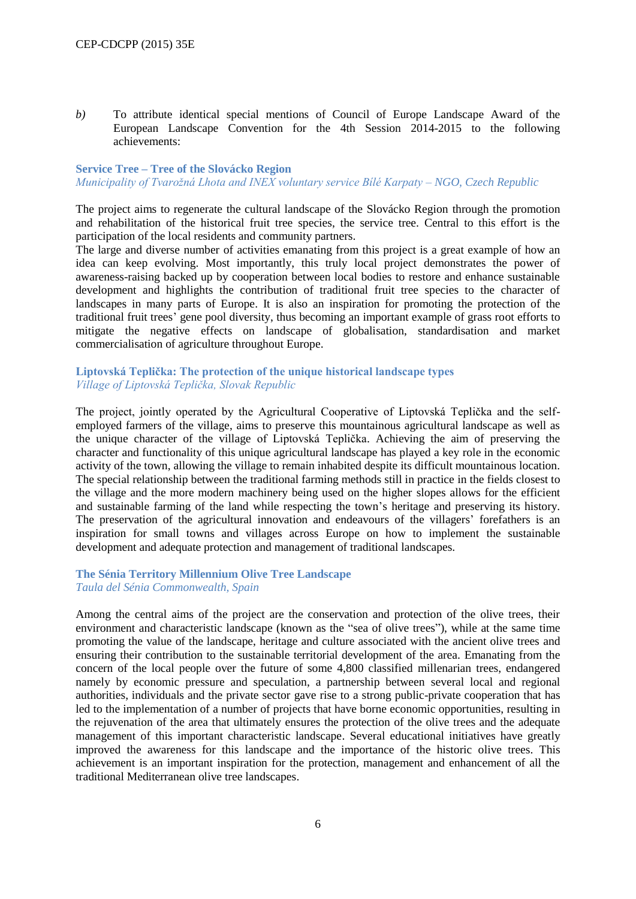*b)* To attribute identical special mentions of Council of Europe Landscape Award of the European Landscape Convention for the 4th Session 2014-2015 to the following achievements:

# **Service Tree – Tree of the Slovácko Region**

*Municipality of Tvarožná Lhota and INEX voluntary service Bílé Karpaty – NGO, Czech Republic*

The project aims to regenerate the cultural landscape of the Slovácko Region through the promotion and rehabilitation of the historical fruit tree species, the service tree. Central to this effort is the participation of the local residents and community partners.

The large and diverse number of activities emanating from this project is a great example of how an idea can keep evolving. Most importantly, this truly local project demonstrates the power of awareness-raising backed up by cooperation between local bodies to restore and enhance sustainable development and highlights the contribution of traditional fruit tree species to the character of landscapes in many parts of Europe. It is also an inspiration for promoting the protection of the traditional fruit trees' gene pool diversity, thus becoming an important example of grass root efforts to mitigate the negative effects on landscape of globalisation, standardisation and market commercialisation of agriculture throughout Europe.

#### **Liptovská Teplička: The protection of the unique historical landscape types** *Village of Liptovská Teplička, Slovak Republic*

The project, jointly operated by the Agricultural Cooperative of Liptovská Teplička and the selfemployed farmers of the village, aims to preserve this mountainous agricultural landscape as well as the unique character of the village of Liptovská Teplička. Achieving the aim of preserving the character and functionality of this unique agricultural landscape has played a key role in the economic activity of the town, allowing the village to remain inhabited despite its difficult mountainous location. The special relationship between the traditional farming methods still in practice in the fields closest to the village and the more modern machinery being used on the higher slopes allows for the efficient and sustainable farming of the land while respecting the town's heritage and preserving its history. The preservation of the agricultural innovation and endeavours of the villagers' forefathers is an inspiration for small towns and villages across Europe on how to implement the sustainable development and adequate protection and management of traditional landscapes.

#### **The Sénia Territory Millennium Olive Tree Landscape** *Taula del Sénia Commonwealth, Spain*

Among the central aims of the project are the conservation and protection of the olive trees, their environment and characteristic landscape (known as the "sea of olive trees"), while at the same time promoting the value of the landscape, heritage and culture associated with the ancient olive trees and ensuring their contribution to the sustainable territorial development of the area. Emanating from the concern of the local people over the future of some 4,800 classified millenarian trees, endangered namely by economic pressure and speculation, a partnership between several local and regional authorities, individuals and the private sector gave rise to a strong public-private cooperation that has led to the implementation of a number of projects that have borne economic opportunities, resulting in the rejuvenation of the area that ultimately ensures the protection of the olive trees and the adequate management of this important characteristic landscape. Several educational initiatives have greatly improved the awareness for this landscape and the importance of the historic olive trees. This achievement is an important inspiration for the protection, management and enhancement of all the traditional Mediterranean olive tree landscapes.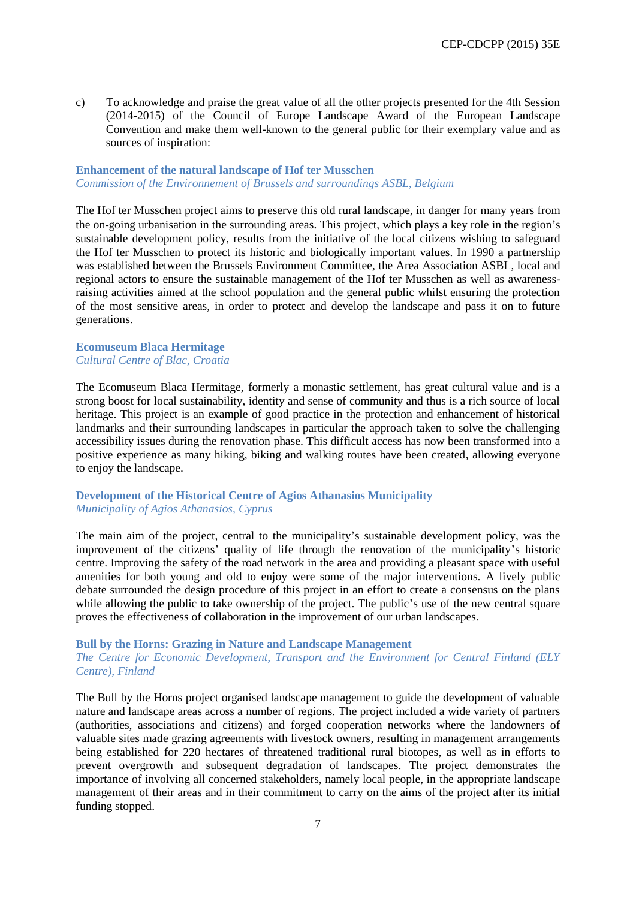c) To acknowledge and praise the great value of all the other projects presented for the 4th Session (2014-2015) of the Council of Europe Landscape Award of the European Landscape Convention and make them well-known to the general public for their exemplary value and as sources of inspiration:

#### **Enhancement of the natural landscape of Hof ter Musschen** *Commission of the Environnement of Brussels and surroundings ASBL, Belgium*

The Hof ter Musschen project aims to preserve this old rural landscape, in danger for many years from the on-going urbanisation in the surrounding areas. This project, which plays a key role in the region's sustainable development policy, results from the initiative of the local citizens wishing to safeguard the Hof ter Musschen to protect its historic and biologically important values. In 1990 a partnership was established between the Brussels Environment Committee, the Area Association ASBL, local and regional actors to ensure the sustainable management of the Hof ter Musschen as well as awarenessraising activities aimed at the school population and the general public whilst ensuring the protection of the most sensitive areas, in order to protect and develop the landscape and pass it on to future generations.

#### **Ecomuseum Blaca Hermitage** *Cultural Centre of Blac, Croatia*

The Ecomuseum Blaca Hermitage, formerly a monastic settlement, has great cultural value and is a strong boost for local sustainability, identity and sense of community and thus is a rich source of local heritage. This project is an example of good practice in the protection and enhancement of historical landmarks and their surrounding landscapes in particular the approach taken to solve the challenging accessibility issues during the renovation phase. This difficult access has now been transformed into a positive experience as many hiking, biking and walking routes have been created, allowing everyone to enjoy the landscape.

#### **Development of the Historical Centre of Agios Athanasios Municipality** *Municipality of Agios Athanasios, Cyprus*

The main aim of the project, central to the municipality's sustainable development policy, was the improvement of the citizens' quality of life through the renovation of the municipality's historic centre. Improving the safety of the road network in the area and providing a pleasant space with useful amenities for both young and old to enjoy were some of the major interventions. A lively public debate surrounded the design procedure of this project in an effort to create a consensus on the plans while allowing the public to take ownership of the project. The public's use of the new central square proves the effectiveness of collaboration in the improvement of our urban landscapes.

#### **Bull by the Horns: Grazing in Nature and Landscape Management**

#### *The Centre for Economic Development, Transport and the Environment for Central Finland (ELY Centre), Finland*

The Bull by the Horns project organised landscape management to guide the development of valuable nature and landscape areas across a number of regions. The project included a wide variety of partners (authorities, associations and citizens) and forged cooperation networks where the landowners of valuable sites made grazing agreements with livestock owners, resulting in management arrangements being established for 220 hectares of threatened traditional rural biotopes, as well as in efforts to prevent overgrowth and subsequent degradation of landscapes. The project demonstrates the importance of involving all concerned stakeholders, namely local people, in the appropriate landscape management of their areas and in their commitment to carry on the aims of the project after its initial funding stopped.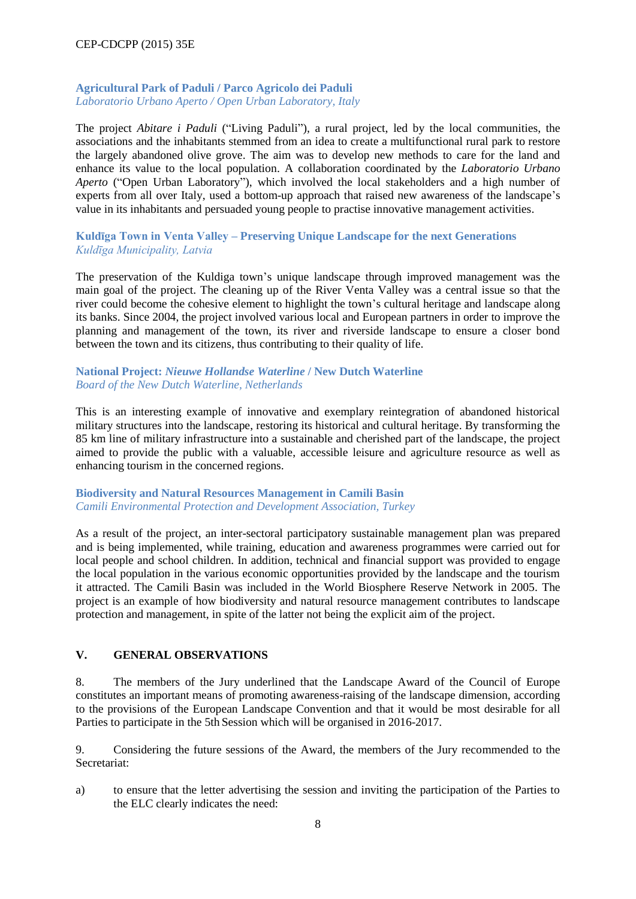#### **Agricultural Park of Paduli / Parco Agricolo dei Paduli** *Laboratorio Urbano Aperto / Open Urban Laboratory, Italy*

The project *Abitare i Paduli* ("Living Paduli"), a rural project, led by the local communities, the associations and the inhabitants stemmed from an idea to create a multifunctional rural park to restore the largely abandoned olive grove. The aim was to develop new methods to care for the land and enhance its value to the local population. A collaboration coordinated by the *Laboratorio Urbano Aperto* ("Open Urban Laboratory"), which involved the local stakeholders and a high number of experts from all over Italy, used a bottom-up approach that raised new awareness of the landscape's value in its inhabitants and persuaded young people to practise innovative management activities.

#### **Kuldīga Town in Venta Valley – Preserving Unique Landscape for the next Generations** *Kuldīga Municipality, Latvia*

The preservation of the Kuldiga town's unique landscape through improved management was the main goal of the project. The cleaning up of the River Venta Valley was a central issue so that the river could become the cohesive element to highlight the town's cultural heritage and landscape along its banks. Since 2004, the project involved various local and European partners in order to improve the planning and management of the town, its river and riverside landscape to ensure a closer bond between the town and its citizens, thus contributing to their quality of life.

#### **National Project:** *Nieuwe Hollandse Waterline* **/ New Dutch Waterline** *Board of the New Dutch Waterline, Netherlands*

This is an interesting example of innovative and exemplary reintegration of abandoned historical military structures into the landscape, restoring its historical and cultural heritage. By transforming the 85 km line of military infrastructure into a sustainable and cherished part of the landscape, the project aimed to provide the public with a valuable, accessible leisure and agriculture resource as well as enhancing tourism in the concerned regions.

#### **Biodiversity and Natural Resources Management in Camili Basin** *Camili Environmental Protection and Development Association, Turkey*

As a result of the project, an inter-sectoral participatory sustainable management plan was prepared and is being implemented, while training, education and awareness programmes were carried out for local people and school children. In addition, technical and financial support was provided to engage the local population in the various economic opportunities provided by the landscape and the tourism it attracted. The Camili Basin was included in the World Biosphere Reserve Network in 2005. The project is an example of how biodiversity and natural resource management contributes to landscape protection and management, in spite of the latter not being the explicit aim of the project.

#### **V. GENERAL OBSERVATIONS**

8. The members of the Jury underlined that the Landscape Award of the Council of Europe constitutes an important means of promoting awareness-raising of the landscape dimension, according to the provisions of the European Landscape Convention and that it would be most desirable for all Parties to participate in the 5th Session which will be organised in 2016-2017.

9. Considering the future sessions of the Award, the members of the Jury recommended to the Secretariat:

a) to ensure that the letter advertising the session and inviting the participation of the Parties to the ELC clearly indicates the need: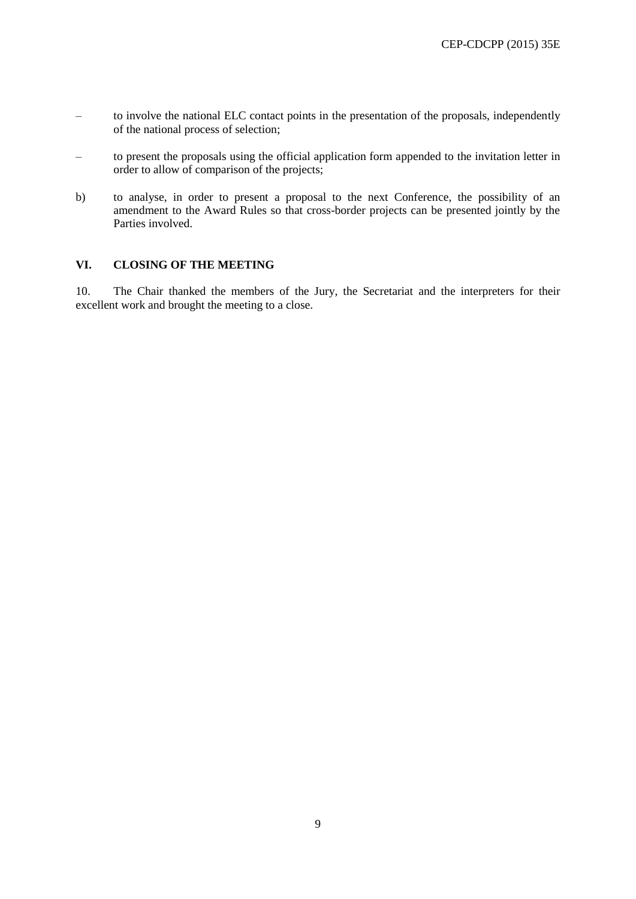- to involve the national ELC contact points in the presentation of the proposals, independently of the national process of selection;
- to present the proposals using the official application form appended to the invitation letter in order to allow of comparison of the projects;
- b) to analyse, in order to present a proposal to the next Conference, the possibility of an amendment to the Award Rules so that cross-border projects can be presented jointly by the Parties involved.

#### **VI. CLOSING OF THE MEETING**

10. The Chair thanked the members of the Jury, the Secretariat and the interpreters for their excellent work and brought the meeting to a close.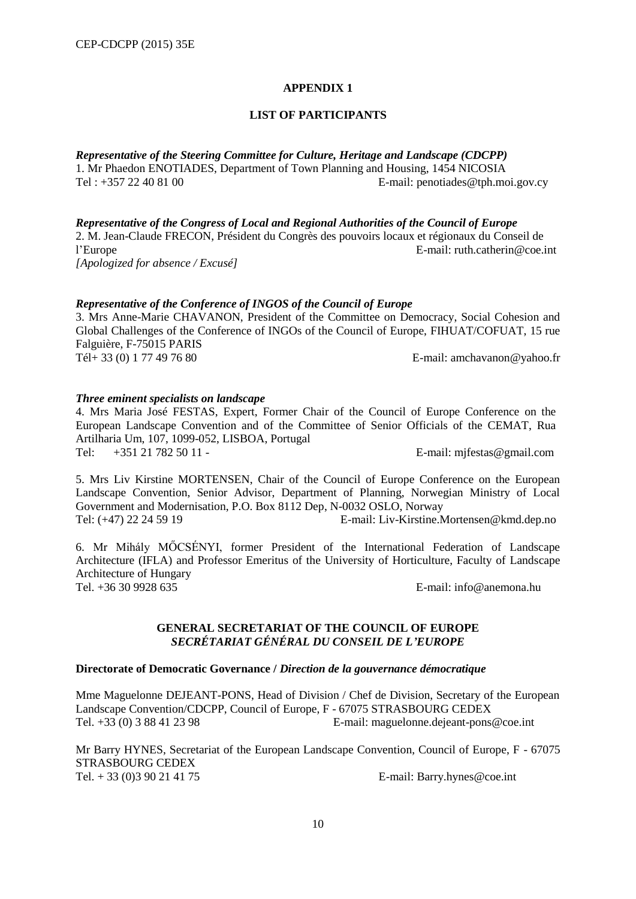#### **LIST OF PARTICIPANTS**

*Representative of the Steering Committee for Culture, Heritage and Landscape (CDCPP)*  1. Mr Phaedon ENOTIADES, Department of Town Planning and Housing, 1454 NICOSIA<br>Tel: +357 22 40 81 00 E-mail: penotiades @tph.mo  $E$ -mail: penotiades@tph.moi.gov.cy

*Representative of the Congress of Local and Regional Authorities of the Council of Europe*  2. M. Jean-Claude FRECON, Président du Congrès des pouvoirs locaux et régionaux du Conseil de l'Europe E-mail: ruth.catherin@coe.int *[Apologized for absence / Excusé]*

#### *Representative of the Conference of INGOS of the Council of Europe*

3. Mrs Anne-Marie CHAVANON, President of the Committee on Democracy, Social Cohesion and Global Challenges of the Conference of INGOs of the Council of Europe, FIHUAT/COFUAT, 15 rue Falguière, F-75015 PARIS Tél+ 33 (0) 1 77 49 76 80 E-mail: [amchavanon@yahoo.fr](mailto:amchavanon@yahoo.fr)

#### *Three eminent specialists on landscape*

4. Mrs Maria José FESTAS, Expert, Former Chair of the Council of Europe Conference on the European Landscape Convention and of the Committee of Senior Officials of the CEMAT, Rua Artilharia Um, 107, 1099-052, LISBOA, Portugal Tel: +351 21 782 50 11 - E-mail: mjfestas@gmail.com

5. Mrs Liv Kirstine MORTENSEN, Chair of the Council of Europe Conference on the European Landscape Convention, Senior Advisor, Department of Planning, Norwegian Ministry of Local Government and Modernisation, P.O. Box 8112 Dep, N-0032 OSLO, Norway<br>Tel: (+47) 22 24 59 19<br>E-mail: Liv-Kirstine.N

E-mail: [Liv-Kirstine.Mortensen@kmd.dep.no](mailto:Liv-Kirstine.Mortensen@kmd.dep.no)

6. Mr Mihály MŐCSÉNYI, former President of the International Federation of Landscape Architecture (IFLA) and Professor Emeritus of the University of Horticulture, Faculty of Landscape Architecture of Hungary Tel. +36 30 9928 635 E-mail: [info@anemona.hu](mailto:info@anemona.hu)

#### **GENERAL SECRETARIAT OF THE COUNCIL OF EUROPE** *SECRÉTARIAT GÉNÉRAL DU CONSEIL DE L'EUROPE*

#### **Directorate of Democratic Governance /** *Direction de la gouvernance démocratique*

Mme Maguelonne DEJEANT-PONS, Head of Division / Chef de Division, Secretary of the European Landscape Convention/CDCPP, Council of Europe, F - 67075 STRASBOURG CEDEX Tel. +33 (0) 3 88 41 23 98 E-mail: [maguelonne.dejeant-pons@coe.int](mailto:maguelonne.dejeant-pons@coe.int)

Mr Barry HYNES, Secretariat of the European Landscape Convention, Council of Europe, F - 67075 STRASBOURG CEDEX Tel. + 33 (0)3 90 21 41 75 E-mail: Barry.hynes@coe.int

10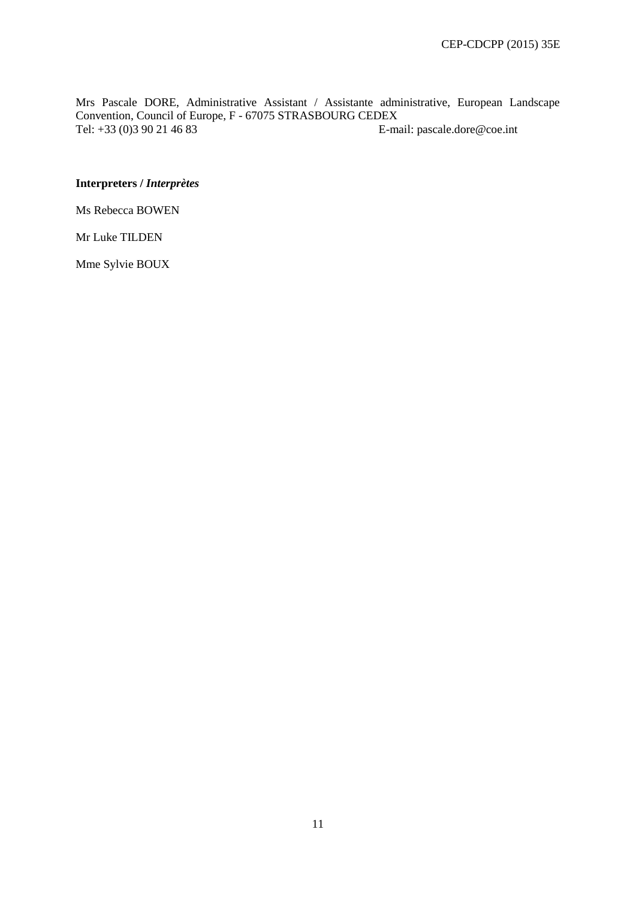Mrs Pascale DORE, Administrative Assistant / Assistante administrative, European Landscape Convention, Council of Europe, F - 67075 STRASBOURG CEDEX<br>Tel: +33 (0)3 90 21 46 83 E-ma E-mail: pascale.dore@coe.int

#### **Interpreters /** *Interprètes*

Ms Rebecca BOWEN

Mr Luke TILDEN

Mme Sylvie BOUX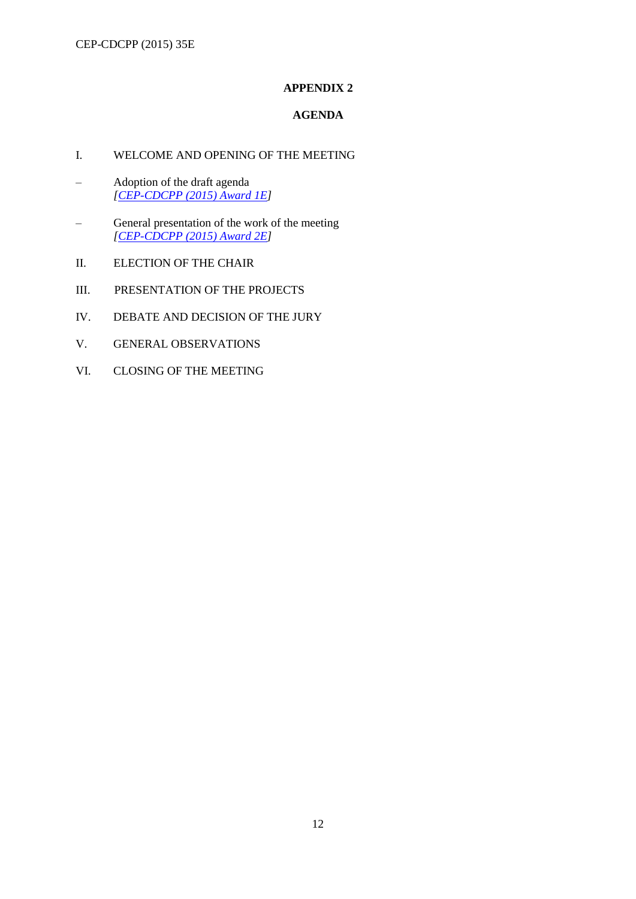# **AGENDA**

# I. WELCOME AND OPENING OF THE MEETING

- Adoption of the draft agenda *[\[CEP-CDCPP \(2015\) Award 1E\]](http://www.coe.int/t/dg4/cultureheritage/heritage/Landscape/Prix/2014/jury/CEP-CDCPP-2015-OJ_en.pdf)*
- General presentation of the work of the meeting *[\[CEP-CDCPP \(2015\) Award 2E\]](http://www.coe.int/t/dg4/cultureheritage/heritage/Landscape/Prix/2014/jury/CEP-CDCPP-2015-2-Award_en.pdf)*
- II. ELECTION OF THE CHAIR
- III. PRESENTATION OF THE PROJECTS
- IV. DEBATE AND DECISION OF THE JURY
- V. GENERAL OBSERVATIONS
- VI. CLOSING OF THE MEETING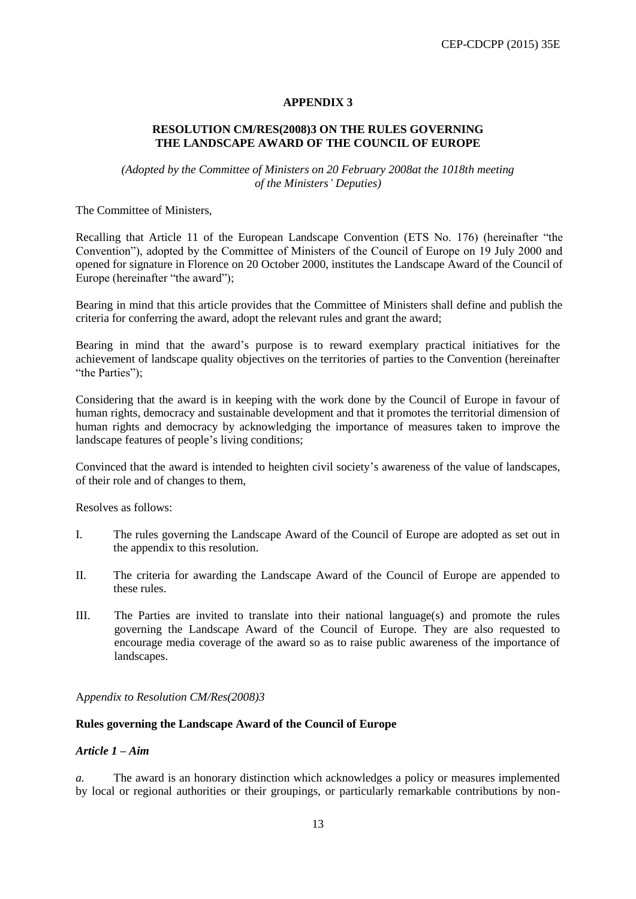#### **RESOLUTION CM/RES(2008)3 ON THE RULES GOVERNING THE LANDSCAPE AWARD OF THE COUNCIL OF EUROPE**

*(Adopted by the Committee of Ministers on 20 February 2008at the 1018th meeting of the Ministers' Deputies)*

The Committee of Ministers,

Recalling that Article 11 of the European Landscape Convention (ETS No. 176) (hereinafter "the Convention"), adopted by the Committee of Ministers of the Council of Europe on 19 July 2000 and opened for signature in Florence on 20 October 2000, institutes the Landscape Award of the Council of Europe (hereinafter "the award");

Bearing in mind that this article provides that the Committee of Ministers shall define and publish the criteria for conferring the award, adopt the relevant rules and grant the award;

Bearing in mind that the award's purpose is to reward exemplary practical initiatives for the achievement of landscape quality objectives on the territories of parties to the Convention (hereinafter "the Parties"):

Considering that the award is in keeping with the work done by the Council of Europe in favour of human rights, democracy and sustainable development and that it promotes the territorial dimension of human rights and democracy by acknowledging the importance of measures taken to improve the landscape features of people's living conditions;

Convinced that the award is intended to heighten civil society's awareness of the value of landscapes, of their role and of changes to them,

Resolves as follows:

- I. The rules governing the Landscape Award of the Council of Europe are adopted as set out in the appendix to this resolution.
- II. The criteria for awarding the Landscape Award of the Council of Europe are appended to these rules.
- III. The Parties are invited to translate into their national language(s) and promote the rules governing the Landscape Award of the Council of Europe. They are also requested to encourage media coverage of the award so as to raise public awareness of the importance of landscapes.

A*ppendix to Resolution CM/Res(2008)3*

#### **Rules governing the Landscape Award of the Council of Europe**

#### *Article 1 – Aim*

*a.* The award is an honorary distinction which acknowledges a policy or measures implemented by local or regional authorities or their groupings, or particularly remarkable contributions by non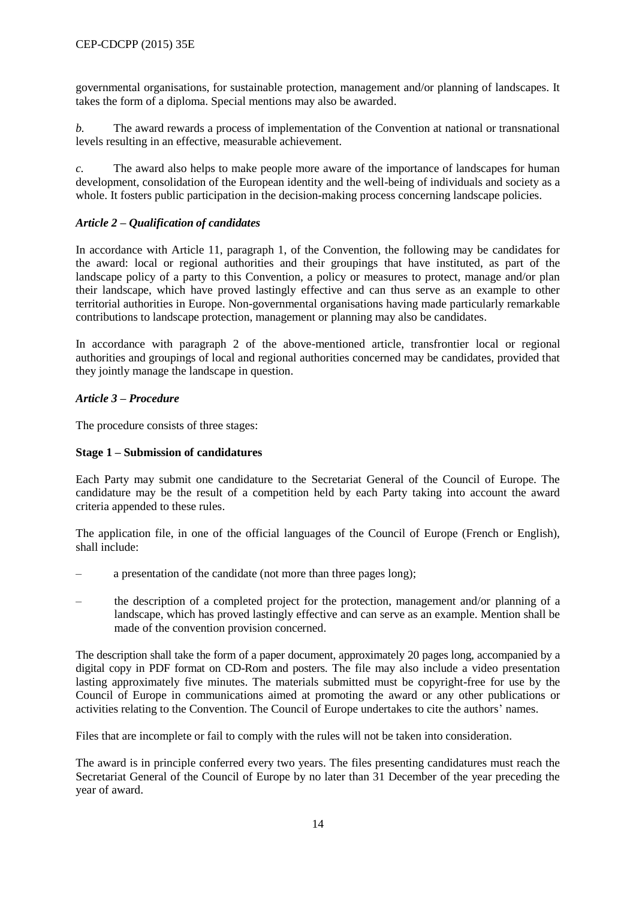governmental organisations, for sustainable protection, management and/or planning of landscapes. It takes the form of a diploma. Special mentions may also be awarded.

*b.* The award rewards a process of implementation of the Convention at national or transnational levels resulting in an effective, measurable achievement.

*c.* The award also helps to make people more aware of the importance of landscapes for human development, consolidation of the European identity and the well-being of individuals and society as a whole. It fosters public participation in the decision-making process concerning landscape policies.

# *Article 2 – Qualification of candidates*

In accordance with Article 11, paragraph 1, of the Convention, the following may be candidates for the award: local or regional authorities and their groupings that have instituted, as part of the landscape policy of a party to this Convention, a policy or measures to protect, manage and/or plan their landscape, which have proved lastingly effective and can thus serve as an example to other territorial authorities in Europe. Non-governmental organisations having made particularly remarkable contributions to landscape protection, management or planning may also be candidates.

In accordance with paragraph 2 of the above-mentioned article, transfrontier local or regional authorities and groupings of local and regional authorities concerned may be candidates, provided that they jointly manage the landscape in question.

#### *Article 3 – Procedure*

The procedure consists of three stages:

## **Stage 1** *–* **Submission of candidatures**

Each Party may submit one candidature to the Secretariat General of the Council of Europe. The candidature may be the result of a competition held by each Party taking into account the award criteria appended to these rules.

The application file, in one of the official languages of the Council of Europe (French or English), shall include:

- a presentation of the candidate (not more than three pages long);
- the description of a completed project for the protection, management and/or planning of a landscape, which has proved lastingly effective and can serve as an example. Mention shall be made of the convention provision concerned.

The description shall take the form of a paper document, approximately 20 pages long, accompanied by a digital copy in PDF format on CD-Rom and posters. The file may also include a video presentation lasting approximately five minutes. The materials submitted must be copyright-free for use by the Council of Europe in communications aimed at promoting the award or any other publications or activities relating to the Convention. The Council of Europe undertakes to cite the authors' names.

Files that are incomplete or fail to comply with the rules will not be taken into consideration.

The award is in principle conferred every two years. The files presenting candidatures must reach the Secretariat General of the Council of Europe by no later than 31 December of the year preceding the year of award.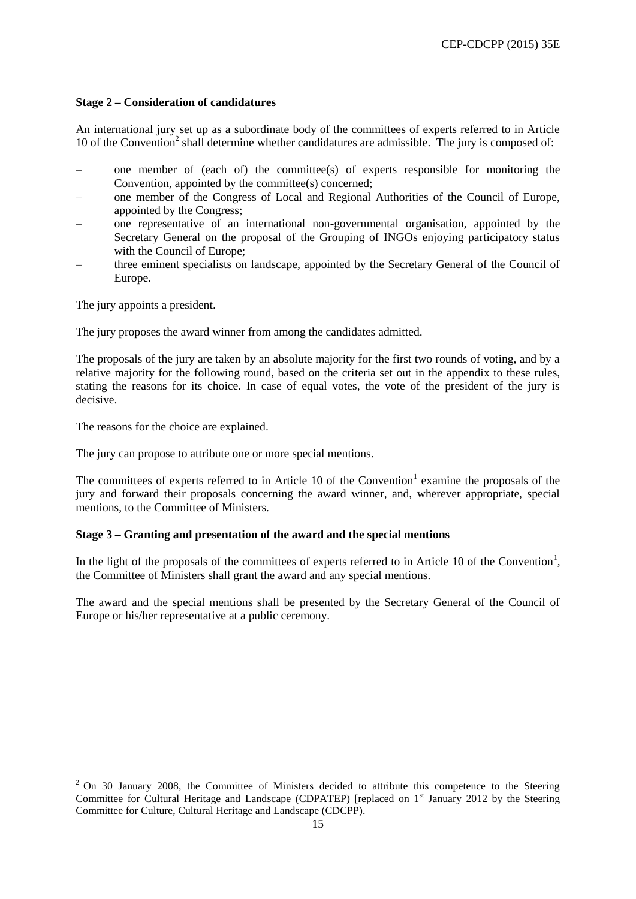#### **Stage 2** *–* **Consideration of candidatures**

An international jury set up as a subordinate body of the committees of experts referred to in Article 10 of the Convention<sup>2</sup> shall determine whether candidatures are admissible. The jury is composed of:

- one member of (each of) the committee(s) of experts responsible for monitoring the Convention, appointed by the committee(s) concerned;
- one member of the Congress of Local and Regional Authorities of the Council of Europe, appointed by the Congress;
- one representative of an international non-governmental organisation, appointed by the Secretary General on the proposal of the Grouping of INGOs enjoying participatory status with the Council of Europe;
- three eminent specialists on landscape, appointed by the Secretary General of the Council of Europe.

The jury appoints a president.

 $\overline{a}$ 

The jury proposes the award winner from among the candidates admitted.

The proposals of the jury are taken by an absolute majority for the first two rounds of voting, and by a relative majority for the following round, based on the criteria set out in the appendix to these rules, stating the reasons for its choice. In case of equal votes, the vote of the president of the jury is decisive.

The reasons for the choice are explained.

The jury can propose to attribute one or more special mentions.

The committees of experts referred to in Article 10 of the Convention<sup>1</sup> examine the proposals of the jury and forward their proposals concerning the award winner, and, wherever appropriate, special mentions, to the Committee of Ministers.

#### **Stage 3** *–* **Granting and presentation of the award and the special mentions**

In the light of the proposals of the committees of experts referred to in Article 10 of the Convention<sup>1</sup>, the Committee of Ministers shall grant the award and any special mentions.

The award and the special mentions shall be presented by the Secretary General of the Council of Europe or his/her representative at a public ceremony.

<sup>&</sup>lt;sup>2</sup> On 30 January 2008, the Committee of Ministers decided to attribute this competence to the Steering Committee for Cultural Heritage and Landscape (CDPATEP) [replaced on 1<sup>st</sup> January 2012 by the Steering Committee for Culture, Cultural Heritage and Landscape (CDCPP).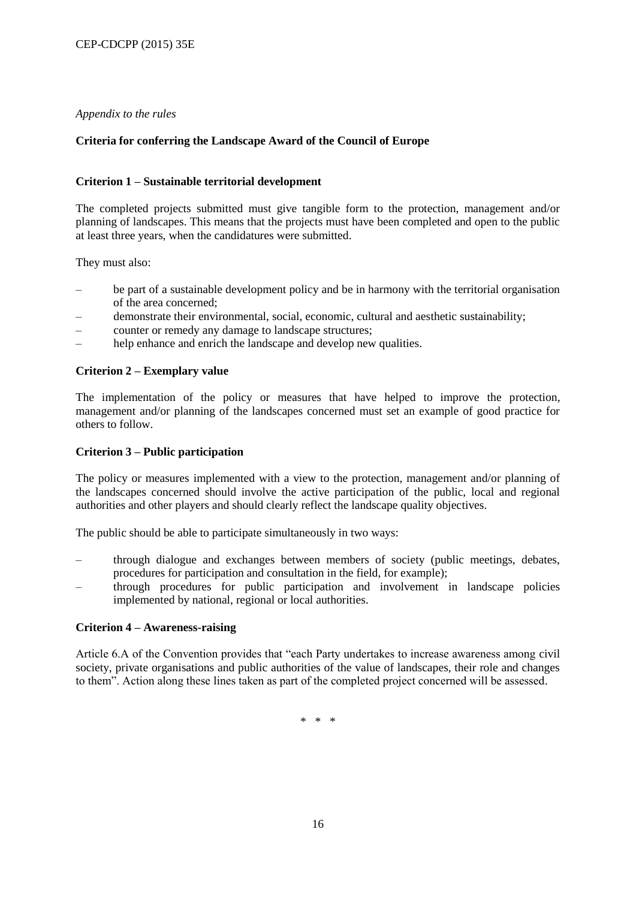#### *Appendix to the rules*

## **Criteria for conferring the Landscape Award of the Council of Europe**

#### **Criterion 1 – Sustainable territorial development**

The completed projects submitted must give tangible form to the protection, management and/or planning of landscapes. This means that the projects must have been completed and open to the public at least three years, when the candidatures were submitted.

They must also:

- be part of a sustainable development policy and be in harmony with the territorial organisation of the area concerned;
- demonstrate their environmental, social, economic, cultural and aesthetic sustainability;
- counter or remedy any damage to landscape structures;
- help enhance and enrich the landscape and develop new qualities.

#### **Criterion 2** *–* **Exemplary value**

The implementation of the policy or measures that have helped to improve the protection, management and/or planning of the landscapes concerned must set an example of good practice for others to follow.

#### **Criterion 3 – Public participation**

The policy or measures implemented with a view to the protection, management and/or planning of the landscapes concerned should involve the active participation of the public, local and regional authorities and other players and should clearly reflect the landscape quality objectives.

The public should be able to participate simultaneously in two ways:

- through dialogue and exchanges between members of society (public meetings, debates, procedures for participation and consultation in the field, for example);
- through procedures for public participation and involvement in landscape policies implemented by national, regional or local authorities.

#### **Criterion 4** *–* **Awareness-raising**

Article 6.A of the Convention provides that "each Party undertakes to increase awareness among civil society, private organisations and public authorities of the value of landscapes, their role and changes to them". Action along these lines taken as part of the completed project concerned will be assessed.

\* \* \*